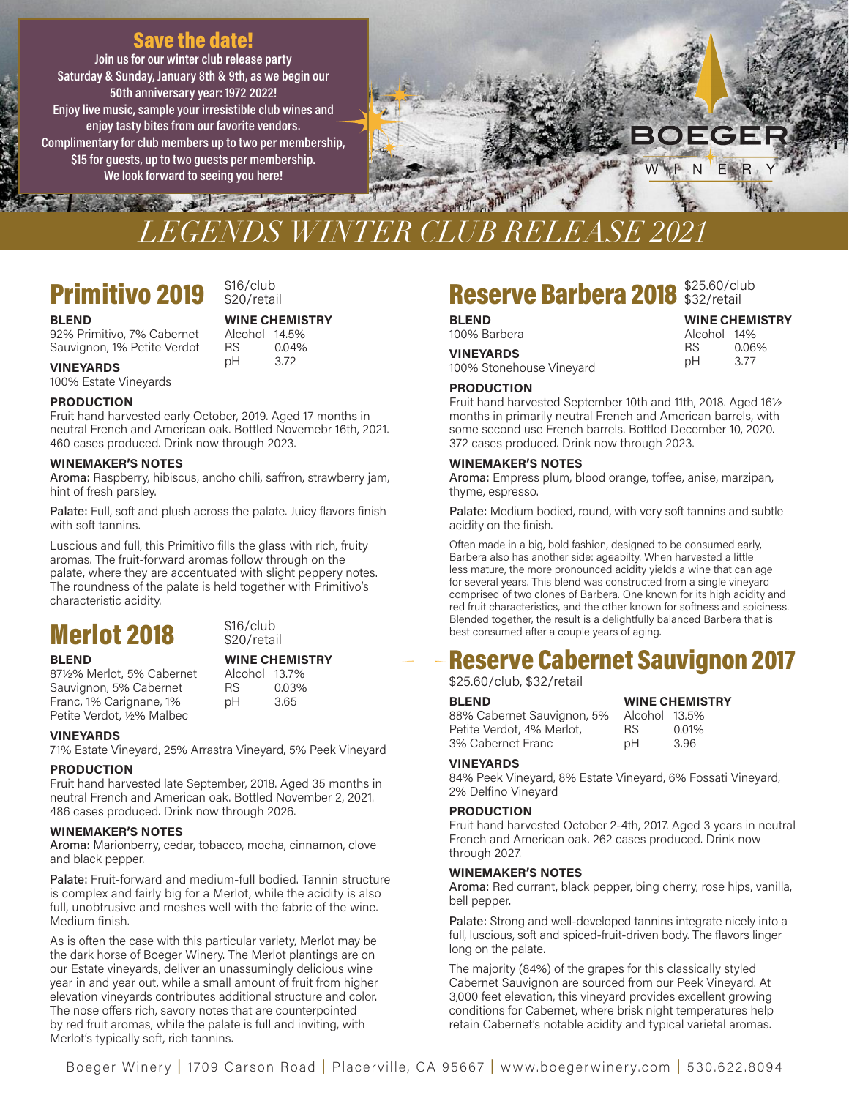### Save the date!

Join us for our winter club release party Saturday & Sunday, January 8th & 9th, as we begin our 50th anniversary year: 1972 2022! Enjoy live music, sample your irresistible club wines and enjoy tasty bites from our favorite vendors. Complimentary for club members up to two per membership, \$15 for guests, up to two guests per membership. We look forward to seeing you here!



# *LEGENDS WINTER CLUB RELEASE 2021*

### **Primitivo 2019**  $$^{316/club}_{820/retail}$

## $$16$ /club

92% Primitivo, 7% Cabernet Alcohol 14.5% Sauvignon, 1% Petite Verdot RS 0.04%

pH 3.72 VINEYARDS 100% Estate Vineyards

### PRODUCTION

Fruit hand harvested early October, 2019. Aged 17 months in neutral French and American oak. Bottled Novemebr 16th, 2021. 460 cases produced. Drink now through 2023.

### WINEMAKER'S NOTES

Aroma: Raspberry, hibiscus, ancho chili, saffron, strawberry jam, hint of fresh parsley.

Palate: Full, soft and plush across the palate. Juicy flavors finish with soft tannins.

Luscious and full, this Primitivo fills the glass with rich, fruity aromas. The fruit-forward aromas follow through on the palate, where they are accentuated with slight peppery notes. The roundness of the palate is held together with Primitivo's characteristic acidity.

### $Merlot 2018$  \$16/club s<sub>20/retail</sub>

### BLEND WINE CHEMISTRY

87½% Merlot, 5% Cabernet Alcohol 13.7% Sauvignon, 5% Cabernet RS 0.03% Franc, 1% Carignane, 1% pH 3.65 Petite Verdot, ½% Malbec

Alcohol 13.7% pH

### VINEYARDS

71% Estate Vineyard, 25% Arrastra Vineyard, 5% Peek Vineyard

### PRODUCTION

Fruit hand harvested late September, 2018. Aged 35 months in neutral French and American oak. Bottled November 2, 2021. 486 cases produced. Drink now through 2026.

### WINEMAKER'S NOTES

Aroma: Marionberry, cedar, tobacco, mocha, cinnamon, clove and black pepper.

Palate: Fruit-forward and medium-full bodied. Tannin structure is complex and fairly big for a Merlot, while the acidity is also full, unobtrusive and meshes well with the fabric of the wine. Medium finish.

As is often the case with this particular variety, Merlot may be the dark horse of Boeger Winery. The Merlot plantings are on our Estate vineyards, deliver an unassumingly delicious wine year in and year out, while a small amount of fruit from higher elevation vineyards contributes additional structure and color. The nose offers rich, savory notes that are counterpointed by red fruit aromas, while the palate is full and inviting, with Merlot's typically soft, rich tannins.

## Reserve Barbera 2018 \$25.60/club

### **BLEND**<br>100% Barbera **Market Strategy Service Service Strategy Alcohol 14%**

3.77

Alcohol 14% RS 0.06%

pH

**CHEMISTRY** 

VINEYARDS 100% Stonehouse Vineyard

### **PRODUCTION**

 Fruit hand harvested September 10th and 11th, 2018. Aged 16½ months in primarily neutral French and American barrels, with some second use French barrels. Bottled December 10, 2020. 372 cases produced. Drink now through 2023.

### WINEMAKER'S NOTES

Aroma: Empress plum, blood orange, toffee, anise, marzipan, thyme, espresso.

Palate: Medium bodied, round, with very soft tannins and subtle acidity on the finish.

 Often made in a big, bold fashion, designed to be consumed early, Barbera also has another side: ageabilty. When harvested a little less mature, the more pronounced acidity yields a wine that can age for several years. This blend was constructed from a single vineyard comprised of two clones of Barbera. One known for its high acidity and red fruit characteristics, and the other known for softness and spiciness. Blended together, the result is a delightfully balanced Barbera that is best consumed after a couple years of aging.

# **Reserve Cabernet Sauvignon 2017**  $\begin{array}{c|c} & \text{best} \rightarrow \text{best} \rightarrow \text{best} \rightarrow \text{best} \rightarrow \text{best} \rightarrow \text{best} \rightarrow \text{best} \rightarrow \text{best} \rightarrow \text{best} \rightarrow \text{best} \rightarrow \text{best} \rightarrow \text{best} \rightarrow \text{best} \rightarrow \text{best} \rightarrow \text{best} \rightarrow \text{best} \rightarrow \text{best} \rightarrow \text{best} \rightarrow \text{best} \rightarrow \text{best} \rightarrow \text{best} \rightarrow \text{best} \rightarrow \text{best} \rightarrow \text{best} \rightarrow \text{best} \rightarrow \text{best} \rightarrow \text{best} \rightarrow \text{best} \rightarrow \text{best} \rightarrow \text{best} \rightarrow$

### \$25.60/club, \$32/retail

| RS. | 0.01%                               |
|-----|-------------------------------------|
| рH  | 3.96                                |
|     | <b>WINE CHEMIS</b><br>Alcohol 13.5% |

### VINEYARDS

 84% Peek Vineyard, 8% Estate Vineyard, 6% Fossati Vineyard, 2% Delfino Vineyard

### PRODUCTION

 Fruit hand harvested October 2-4th, 2017. Aged 3 years in neutral French and American oak. 262 cases produced. Drink now through 2027.

### WINEMAKER'S NOTES

Aroma: Red currant, black pepper, bing cherry, rose hips, vanilla, bell pepper.

Palate: Strong and well-developed tannins integrate nicely into a full, luscious, soft and spiced-fruit-driven body. The flavors linger long on the palate.

 The majority (84%) of the grapes for this classically styled Cabernet Sauvignon are sourced from our Peek Vineyard. At 3,000 feet elevation, this vineyard provides excellent growing conditions for Cabernet, where brisk night temperatures help retain Cabernet's notable acidity and typical varietal aromas.

**BLEND** WINE CHEMISTRY<br>92% Primitivo. 7% Cabernet Alcohol 14.5%